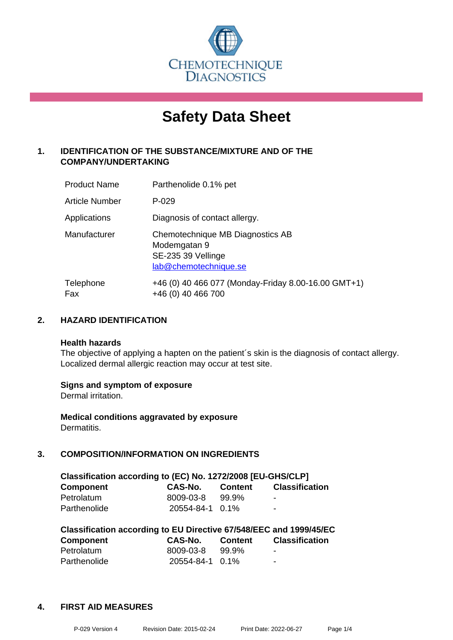

# **Safety Data Sheet**

# **1. IDENTIFICATION OF THE SUBSTANCE/MIXTURE AND OF THE COMPANY/UNDERTAKING**

| <b>Product Name</b> | Parthenolide 0.1% pet                                                                           |
|---------------------|-------------------------------------------------------------------------------------------------|
| Article Number      | $P-029$                                                                                         |
| Applications        | Diagnosis of contact allergy.                                                                   |
| Manufacturer        | Chemotechnique MB Diagnostics AB<br>Modemgatan 9<br>SE-235 39 Vellinge<br>lab@chemotechnique.se |
| Telephone<br>Fax    | +46 (0) 40 466 077 (Monday-Friday 8.00-16.00 GMT+1)<br>+46 (0) 40 466 700                       |

# **2. HAZARD IDENTIFICATION**

#### **Health hazards**

The objective of applying a hapten on the patient's skin is the diagnosis of contact allergy. Localized dermal allergic reaction may occur at test site.

#### **Signs and symptom of exposure**

Dermal irritation.

**Medical conditions aggravated by exposure** Dermatitis.

# **3. COMPOSITION/INFORMATION ON INGREDIENTS**

| Classification according to (EC) No. 1272/2008 [EU-GHS/CLP] |                 |                |                       |  |
|-------------------------------------------------------------|-----------------|----------------|-----------------------|--|
| <b>Component</b>                                            | <b>CAS-No.</b>  | <b>Content</b> | <b>Classification</b> |  |
| Petrolatum                                                  | 8009-03-8       | 99.9%          | -                     |  |
| Parthenolide                                                | 20554-84-1 0.1% |                | $\blacksquare$        |  |

| Classification according to EU Directive 67/548/EEC and 1999/45/EC |                 |                |                       |  |  |
|--------------------------------------------------------------------|-----------------|----------------|-----------------------|--|--|
| <b>Component</b>                                                   | CAS-No.         | <b>Content</b> | <b>Classification</b> |  |  |
| Petrolatum                                                         | 8009-03-8       | .99.9%         | -                     |  |  |
| Parthenolide                                                       | 20554-84-1 0.1% |                | -                     |  |  |

#### **4. FIRST AID MEASURES**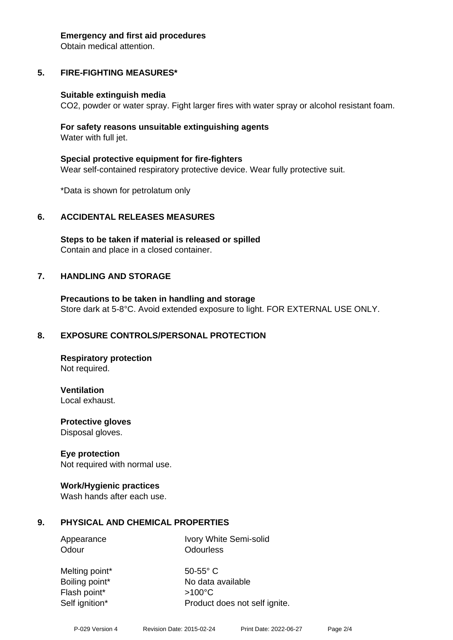#### **Emergency and first aid procedures**

Obtain medical attention.

# **5. FIRE-FIGHTING MEASURES\***

#### **Suitable extinguish media**

CO2, powder or water spray. Fight larger fires with water spray or alcohol resistant foam.

#### **For safety reasons unsuitable extinguishing agents** Water with full jet.

**Special protective equipment for fire-fighters** Wear self-contained respiratory protective device. Wear fully protective suit.

\*Data is shown for petrolatum only

#### **6. ACCIDENTAL RELEASES MEASURES**

**Steps to be taken if material is released or spilled** Contain and place in a closed container.

#### **7. HANDLING AND STORAGE**

**Precautions to be taken in handling and storage** Store dark at 5-8°C. Avoid extended exposure to light. FOR EXTERNAL USE ONLY.

#### **8. EXPOSURE CONTROLS/PERSONAL PROTECTION**

**Respiratory protection** Not required.

**Ventilation**

Local exhaust.

**Protective gloves** Disposal gloves.

#### **Eye protection**

Not required with normal use.

#### **Work/Hygienic practices**

Wash hands after each use.

#### **9. PHYSICAL AND CHEMICAL PROPERTIES**

Appearance Ivory White Semi-solid Odour **Odourless** 

Melting point\* 50-55° C Boiling point\* No data available Flash point\* >100°C Self ignition\* Product does not self ignite.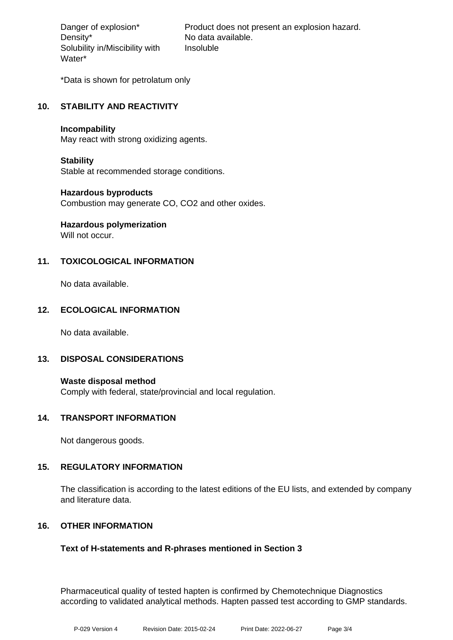Density\* No data available. Solubility in/Miscibility with Water\*

Danger of explosion\* Product does not present an explosion hazard. Insoluble

\*Data is shown for petrolatum only

# **10. STABILITY AND REACTIVITY**

#### **Incompability**

May react with strong oxidizing agents.

#### **Stability**

Stable at recommended storage conditions.

#### **Hazardous byproducts**

Combustion may generate CO, CO2 and other oxides.

# **Hazardous polymerization**

Will not occur.

# **11. TOXICOLOGICAL INFORMATION**

No data available.

# **12. ECOLOGICAL INFORMATION**

No data available.

# **13. DISPOSAL CONSIDERATIONS**

**Waste disposal method** Comply with federal, state/provincial and local regulation.

#### **14. TRANSPORT INFORMATION**

Not dangerous goods.

#### **15. REGULATORY INFORMATION**

The classification is according to the latest editions of the EU lists, and extended by company and literature data.

# **16. OTHER INFORMATION**

# **Text of H-statements and R-phrases mentioned in Section 3**

Pharmaceutical quality of tested hapten is confirmed by Chemotechnique Diagnostics according to validated analytical methods. Hapten passed test according to GMP standards.